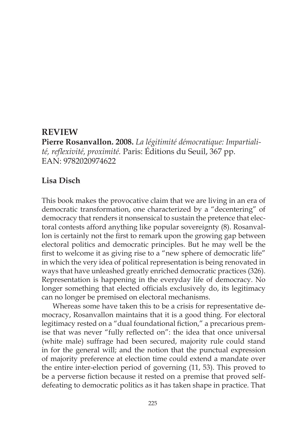# **REVIEW**

**Pierre Rosanvallon. 2008.** *La légitimité démocratique: Impartialité, reflexivité, proximité.* Paris: Éditions du Seuil, 367 pp. EAN: 9782020974622

# **Lisa Disch**

This book makes the provocative claim that we are living in an era of democratic transformation, one characterized by a "decentering" of democracy that renders it nonsensical to sustain the pretence that electoral contests afford anything like popular sovereignty (8). Rosanvallon is certainly not the first to remark upon the growing gap between electoral politics and democratic principles. But he may well be the first to welcome it as giving rise to a "new sphere of democratic life" in which the very idea of political representation is being renovated in ways that have unleashed greatly enriched democratic practices (326). Representation is happening in the everyday life of democracy. No longer something that elected officials exclusively do, its legitimacy can no longer be premised on electoral mechanisms.

Whereas some have taken this to be a crisis for representative democracy, Rosanvallon maintains that it is a good thing. For electoral legitimacy rested on a "dual foundational fiction," a precarious premise that was never "fully reflected on": the idea that once universal (white male) suffrage had been secured, majority rule could stand in for the general will; and the notion that the punctual expression of majority preference at election time could extend a mandate over the entire inter-election period of governing (11, 53). This proved to be a perverse fiction because it rested on a premise that proved selfdefeating to democratic politics as it has taken shape in practice. That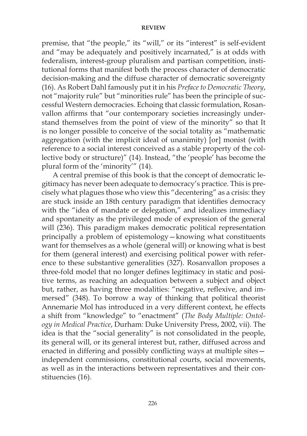premise, that "the people," its "will," or its "interest" is self-evident and "may be adequately and positively incarnated," is at odds with federalism, interest-group pluralism and partisan competition, institutional forms that manifest both the process character of democratic decision-making and the diffuse character of democratic sovereignty (16). As Robert Dahl famously put it in his *Preface to Democratic Theory*, not "majority rule" but "minorities rule" has been the principle of successful Western democracies. Echoing that classic formulation, Rosanvallon affirms that "our contemporary societies increasingly understand themselves from the point of view of the minority" so that It is no longer possible to conceive of the social totality as "mathematic aggregation (with the implicit ideal of unanimity) [or] monist (with reference to a social interest conceived as a stable property of the collective body or structure)" (14). Instead, "the 'people' has become the plural form of the 'minority'" (14).

A central premise of this book is that the concept of democratic legitimacy has never been adequate to democracy's practice. This is precisely what plagues those who view this "decentering" as a crisis: they are stuck inside an 18th century paradigm that identifies democracy with the "idea of mandate or delegation," and idealizes immediacy and spontaneity as the privileged mode of expression of the general will (236). This paradigm makes democratic political representation principally a problem of epistemology—knowing what constituents want for themselves as a whole (general will) or knowing what is best for them (general interest) and exercising political power with reference to these substantive generalities (327). Rosanvallon proposes a three-fold model that no longer defines legitimacy in static and positive terms, as reaching an adequation between a subject and object but, rather, as having three modalities: "negative, reflexive, and immersed" (348). To borrow a way of thinking that political theorist Annemarie Mol has introduced in a very different context, he effects a shift from "knowledge" to "enactment" (*The Body Multiple: Ontology in Medical Practice*, Durham: Duke University Press, 2002, vii). The idea is that the "social generality" is not consolidated in the people, its general will, or its general interest but, rather, diffused across and enacted in differing and possibly conflicting ways at multiple sites independent commissions, constitutional courts, social movements, as well as in the interactions between representatives and their constituencies (16).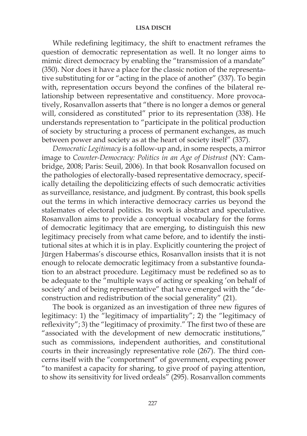While redefining legitimacy, the shift to enactment reframes the question of democratic representation as well. It no longer aims to mimic direct democracy by enabling the "transmission of a mandate" (350). Nor does it have a place for the classic notion of the representative substituting for or "acting in the place of another" (337). To begin with, representation occurs beyond the confines of the bilateral relationship between representative and constituency. More provocatively, Rosanvallon asserts that "there is no longer a demos or general will, considered as constituted" prior to its representation (338). He understands representation to "participate in the political production of society by structuring a process of permanent exchanges, as much between power and society as at the heart of society itself" (337).

*Democratic Legitimacy* is a follow-up and, in some respects, a mirror image to *Counter-Democracy: Politics in an Age of Distrust* (NY: Cambridge, 2008; Paris: Seuil, 2006). In that book Rosanvallon focused on the pathologies of electorally-based representative democracy, specifically detailing the depoliticizing effects of such democratic activities as surveillance, resistance, and judgment. By contrast, this book spells out the terms in which interactive democracy carries us beyond the stalemates of electoral politics. Its work is abstract and speculative. Rosanvallon aims to provide a conceptual vocabulary for the forms of democratic legitimacy that are emerging, to distinguish this new legitimacy precisely from what came before, and to identify the institutional sites at which it is in play. Explicitly countering the project of Jürgen Habermas's discourse ethics, Rosanvallon insists that it is not enough to relocate democratic legitimacy from a substantive foundation to an abstract procedure. Legitimacy must be redefined so as to be adequate to the "multiple ways of acting or speaking 'on behalf of society' and of being representative" that have emerged with the "deconstruction and redistribution of the social generality" (21).

The book is organized as an investigation of three new figures of legitimacy: 1) the "legitimacy of impartiality"; 2) the "legitimacy of reflexivity"; 3) the "legitimacy of proximity." The first two of these are "associated with the development of new democratic institutions," such as commissions, independent authorities, and constitutional courts in their increasingly representative role (267). The third concerns itself with the "comportment" of government, expecting power "to manifest a capacity for sharing, to give proof of paying attention, to show its sensitivity for lived ordeals" (295). Rosanvallon comments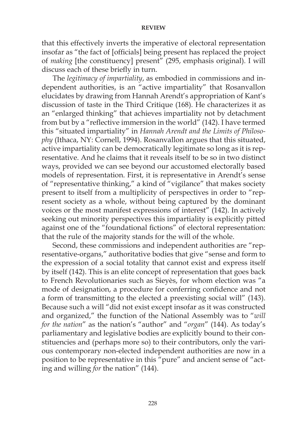#### **REVIEW**

that this effectively inverts the imperative of electoral representation insofar as "the fact of [officials] being present has replaced the project of *making* [the constituency] present" (295, emphasis original). I will discuss each of these briefly in turn.

The *legitimacy of impartiality*, as embodied in commissions and independent authorities, is an "active impartiality" that Rosanvallon elucidates by drawing from Hannah Arendt's appropriation of Kant's discussion of taste in the Third Critique (168). He characterizes it as an "enlarged thinking" that achieves impartiality not by detachment from but by a "reflective immersion in the world" (142). I have termed this "situated impartiality" in *Hannah Arendt and the Limits of Philosophy* (Ithaca, NY: Cornell, 1994). Rosanvallon argues that this situated, active impartiality can be democratically legitimate so long as it is representative. And he claims that it reveals itself to be so in two distinct ways, provided we can see beyond our accustomed electorally based models of representation. First, it is representative in Arendt's sense of "representative thinking," a kind of "vigilance" that makes society present to itself from a multiplicity of perspectives in order to "represent society as a whole, without being captured by the dominant voices or the most manifest expressions of interest" (142). In actively seeking out minority perspectives this impartiality is explicitly pitted against one of the "foundational fictions" of electoral representation: that the rule of the majority stands for the will of the whole.

Second, these commissions and independent authorities are "representative-organs," authoritative bodies that give "sense and form to the expression of a social totality that cannot exist and express itself by itself (142). This is an elite concept of representation that goes back to French Revolutionaries such as Sieyès, for whom election was "a mode of designation, a procedure for conferring confidence and not a form of transmitting to the elected a preexisting social will" (143). Because such a will "did not exist except insofar as it was constructed and organized," the function of the National Assembly was to "*will for the nation*" as the nation's "author" and "*organ*" (144). As today's parliamentary and legislative bodies are explicitly bound to their constituencies and (perhaps more so) to their contributors, only the various contemporary non-elected independent authorities are now in a position to be representative in this "pure" and ancient sense of "acting and willing *for* the nation" (144).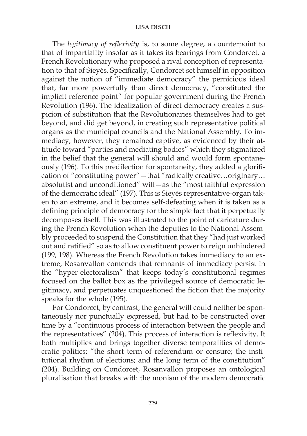The *legitimacy of reflexivity* is, to some degree, a counterpoint to that of impartiality insofar as it takes its bearings from Condorcet, a French Revolutionary who proposed a rival conception of representation to that of Sieyès. Specifically, Condorcet set himself in opposition against the notion of "immediate democracy" the pernicious ideal that, far more powerfully than direct democracy, "constituted the implicit reference point" for popular government during the French Revolution (196). The idealization of direct democracy creates a suspicion of substitution that the Revolutionaries themselves had to get beyond, and did get beyond, in creating such representative political organs as the municipal councils and the National Assembly. To immediacy, however, they remained captive, as evidenced by their attitude toward "parties and mediating bodies" which they stigmatized in the belief that the general will should and would form spontaneously (196). To this predilection for spontaneity, they added a glorification of "constituting power"—that "radically creative…originary… absolutist and unconditioned" will—as the "most faithful expression of the democratic ideal" (197). This is Sieyès representative-organ taken to an extreme, and it becomes self-defeating when it is taken as a defining principle of democracy for the simple fact that it perpetually decomposes itself. This was illustrated to the point of caricature during the French Revolution when the deputies to the National Assembly proceeded to suspend the Constitution that they "had just worked out and ratified" so as to allow constituent power to reign unhindered (199, 198). Whereas the French Revolution takes immediacy to an extreme, Rosanvallon contends that remnants of immediacy persist in the "hyper-electoralism" that keeps today's constitutional regimes focused on the ballot box as the privileged source of democratic legitimacy, and perpetuates unquestioned the fiction that the majority speaks for the whole (195).

For Condorcet, by contrast, the general will could neither be spontaneously nor punctually expressed, but had to be constructed over time by a "continuous process of interaction between the people and the representatives" (204). This process of interaction is reflexivity. It both multiplies and brings together diverse temporalities of democratic politics: "the short term of referendum or censure; the institutional rhythm of elections; and the long term of the constitution" (204). Building on Condorcet, Rosanvallon proposes an ontological pluralisation that breaks with the monism of the modern democratic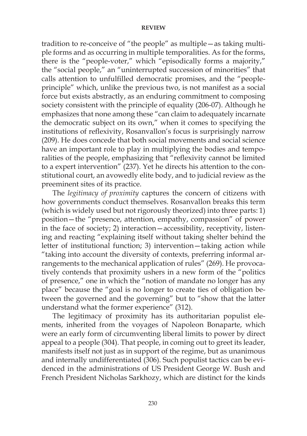tradition to re-conceive of "the people" as multiple—as taking multiple forms and as occurring in multiple temporalities. As for the forms, there is the "people-voter," which "episodically forms a majority," the "social people," an "uninterrupted succession of minorities" that calls attention to unfulfilled democratic promises, and the "peopleprinciple" which, unlike the previous two, is not manifest as a social force but exists abstractly, as an enduring commitment to composing society consistent with the principle of equality (206-07). Although he emphasizes that none among these "can claim to adequately incarnate the democratic subject on its own," when it comes to specifying the institutions of reflexivity, Rosanvallon's focus is surprisingly narrow (209). He does concede that both social movements and social science have an important role to play in multiplying the bodies and temporalities of the people, emphasizing that "reflexivity cannot be limited to a expert intervention" (237). Yet he directs his attention to the constitutional court, an avowedly elite body, and to judicial review as the preeminent sites of its practice.

The *legitimacy of proximity* captures the concern of citizens with how governments conduct themselves. Rosanvallon breaks this term (which is widely used but not rigorously theorized) into three parts: 1) position—the "presence, attention, empathy, compassion" of power in the face of society; 2) interaction—accessibility, receptivity, listening and reacting "explaining itself without taking shelter behind the letter of institutional function; 3) intervention—taking action while "taking into account the diversity of contexts, preferring informal arrangements to the mechanical application of rules" (269). He provocatively contends that proximity ushers in a new form of the "politics of presence," one in which the "notion of mandate no longer has any place" because the "goal is no longer to create ties of obligation between the governed and the governing" but to "show that the latter understand what the former experience" (312).

The legitimacy of proximity has its authoritarian populist elements, inherited from the voyages of Napoleon Bonaparte, which were an early form of circumventing liberal limits to power by direct appeal to a people (304). That people, in coming out to greet its leader, manifests itself not just as in support of the regime, but as unanimous and internally undifferentiated (306). Such populist tactics can be evidenced in the administrations of US President George W. Bush and French President Nicholas Sarkhozy, which are distinct for the kinds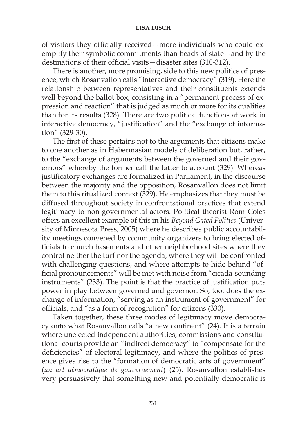of visitors they officially received—more individuals who could exemplify their symbolic commitments than heads of state—and by the destinations of their official visits—disaster sites (310-312).

There is another, more promising, side to this new politics of presence, which Rosanvallon calls "interactive democracy" (319). Here the relationship between representatives and their constituents extends well beyond the ballot box, consisting in a "permanent process of expression and reaction" that is judged as much or more for its qualities than for its results (328). There are two political functions at work in interactive democracy, "justification" and the "exchange of information" (329-30).

The first of these pertains not to the arguments that citizens make to one another as in Habermasian models of deliberation but, rather, to the "exchange of arguments between the governed and their governors" whereby the former call the latter to account (329). Whereas justificatory exchanges are formalized in Parliament, in the discourse between the majority and the opposition, Rosanvallon does not limit them to this ritualized context (329). He emphasizes that they must be diffused throughout society in confrontational practices that extend legitimacy to non-governmental actors. Political theorist Rom Coles offers an excellent example of this in his *Beyond Gated Politics* (University of Minnesota Press, 2005) where he describes public accountability meetings convened by community organizers to bring elected officials to church basements and other neighborhood sites where they control neither the turf nor the agenda, where they will be confronted with challenging questions, and where attempts to hide behind "official pronouncements" will be met with noise from "cicada-sounding instruments" (233). The point is that the practice of justification puts power in play between governed and governor. So, too, does the exchange of information, "serving as an instrument of government" for officials, and "as a form of recognition" for citizens (330).

Taken together, these three modes of legitimacy move democracy onto what Rosanvallon calls "a new continent" (24). It is a terrain where unelected independent authorities, commissions and constitutional courts provide an "indirect democracy" to "compensate for the deficiencies" of electoral legitimacy, and where the politics of presence gives rise to the "formation of democratic arts of government" (*un art démocratique de gouvernement*) (25). Rosanvallon establishes very persuasively that something new and potentially democratic is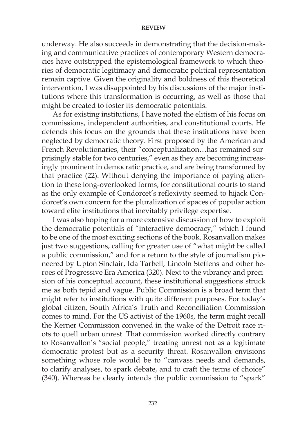#### **REVIEW**

underway. He also succeeds in demonstrating that the decision-making and communicative practices of contemporary Western democracies have outstripped the epistemological framework to which theories of democratic legitimacy and democratic political representation remain captive. Given the originality and boldness of this theoretical intervention, I was disappointed by his discussions of the major institutions where this transformation is occurring, as well as those that might be created to foster its democratic potentials.

As for existing institutions, I have noted the elitism of his focus on commissions, independent authorities, and constitutional courts. He defends this focus on the grounds that these institutions have been neglected by democratic theory. First proposed by the American and French Revolutionaries, their "conceptualization…has remained surprisingly stable for two centuries," even as they are becoming increasingly prominent in democratic practice, and are being transformed by that practice (22). Without denying the importance of paying attention to these long-overlooked forms, for constitutional courts to stand as the only example of Condorcet's reflexivity seemed to hijack Condorcet's own concern for the pluralization of spaces of popular action toward elite institutions that inevitably privilege expertise.

I was also hoping for a more extensive discussion of how to exploit the democratic potentials of "interactive democracy," which I found to be one of the most exciting sections of the book. Rosanvallon makes just two suggestions, calling for greater use of "what might be called a public commission," and for a return to the style of journalism pioneered by Upton Sinclair, Ida Tarbell, Lincoln Steffens and other heroes of Progressive Era America (320). Next to the vibrancy and precision of his conceptual account, these institutional suggestions struck me as both tepid and vague. Public Commission is a broad term that might refer to institutions with quite different purposes. For today's global citizen, South Africa's Truth and Reconciliation Commission comes to mind. For the US activist of the 1960s, the term might recall the Kerner Commission convened in the wake of the Detroit race riots to quell urban unrest. That commission worked directly contrary to Rosanvallon's "social people," treating unrest not as a legitimate democratic protest but as a security threat. Rosanvallon envisions something whose role would be to "canvass needs and demands, to clarify analyses, to spark debate, and to craft the terms of choice" (340). Whereas he clearly intends the public commission to "spark"